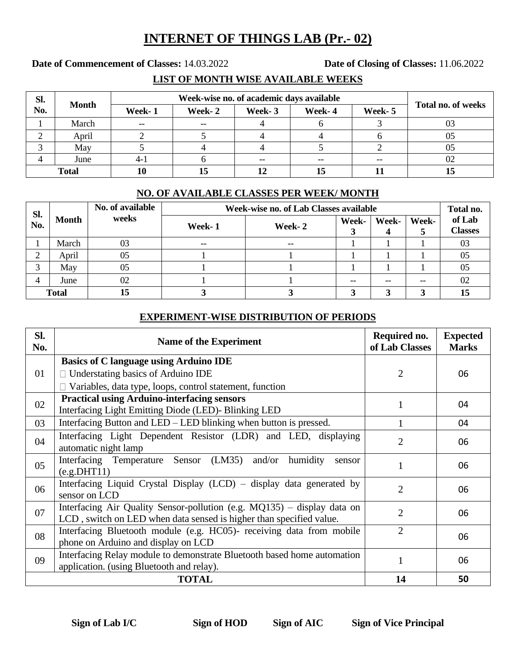## **INTERNET OF THINGS LAB (Pr.- 02)**

**Date of Commencement of Classes:** 14.03.2022 **Date of Closing of Classes:** 11.06.2022

### **LIST OF MONTH WISE AVAILABLE WEEKS**

| Sl.<br>No.   | <b>Month</b> |        |         |        |        |        |                           |
|--------------|--------------|--------|---------|--------|--------|--------|---------------------------|
|              |              | Week-1 | Week- 2 | Week-3 | Week-4 | Week-5 | <b>Total no. of weeks</b> |
|              | March        | $- -$  | $- -$   |        |        |        |                           |
|              | April        |        |         |        |        |        | 05                        |
|              | May          |        |         |        |        |        | 05                        |
|              | June         | $4-1$  |         | $- -$  |        | $- -$  | 02                        |
| <b>Total</b> |              | 10     | 15      |        |        |        |                           |

#### **NO. OF AVAILABLE CLASSES PER WEEK/ MONTH**

| Sl.<br>No.   | <b>Month</b> | No. of available<br>weeks | Week-wise no. of Lab Classes available |        |       |       |       |                          |
|--------------|--------------|---------------------------|----------------------------------------|--------|-------|-------|-------|--------------------------|
|              |              |                           | Week-1                                 | Week-2 | Week- | Week- | Week- | of Lab<br><b>Classes</b> |
|              | March        | 03                        | $-$                                    | $- -$  |       |       |       | 03                       |
| ◠<br>∠       | April        | 05                        |                                        |        |       |       |       | 05                       |
| ⌒            | May          | 05                        |                                        |        |       |       |       | 05                       |
|              | June         | 02                        |                                        |        | --    |       | --    | 02                       |
| <b>Total</b> |              | 15                        |                                        |        |       |       |       | 15                       |

#### **EXPERIMENT-WISE DISTRIBUTION OF PERIODS**

| Sl.<br>No.     | <b>Name of the Experiment</b>                                                                                                                     | Required no.<br>of Lab Classes | <b>Expected</b><br><b>Marks</b> |
|----------------|---------------------------------------------------------------------------------------------------------------------------------------------------|--------------------------------|---------------------------------|
|                | <b>Basics of C language using Arduino IDE</b>                                                                                                     |                                |                                 |
| 01             | $\Box$ Understating basics of Arduino IDE                                                                                                         | 2                              | 06                              |
|                | Variables, data type, loops, control statement, function                                                                                          |                                |                                 |
| 02             | <b>Practical using Arduino-interfacing sensors</b><br>Interfacing Light Emitting Diode (LED)- Blinking LED                                        |                                | 04                              |
| 03             | Interfacing Button and LED – LED blinking when button is pressed.                                                                                 |                                | 04                              |
| 04             | Interfacing Light Dependent Resistor (LDR) and LED, displaying<br>automatic night lamp                                                            |                                | 06                              |
| 0 <sub>5</sub> | Interfacing Temperature Sensor (LM35) and/or humidity<br>sensor<br>(e.g.DHT11)                                                                    |                                | 06                              |
| 06             | Interfacing Liquid Crystal Display (LCD) – display data generated by<br>sensor on LCD                                                             | $\mathcal{D}_{\mathcal{L}}$    | 06                              |
| 07             | Interfacing Air Quality Sensor-pollution (e.g. $MQ135$ ) – display data on<br>LCD, switch on LED when data sensed is higher than specified value. | 2                              | 06                              |
| 08             | Interfacing Bluetooth module (e.g. HC05)- receiving data from mobile<br>phone on Arduino and display on LCD                                       | $\overline{2}$                 | 06                              |
| 09             | Interfacing Relay module to demonstrate Bluetooth based home automation<br>application. (using Bluetooth and relay).                              |                                | 06                              |
|                | <b>TOTAL</b>                                                                                                                                      | 14                             | 50                              |